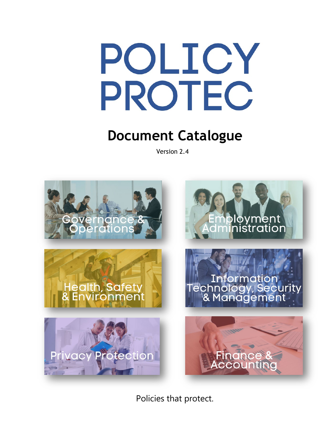# POLICY PROTEC

## **Document Catalogue**

Version 2.4



Policies that protect.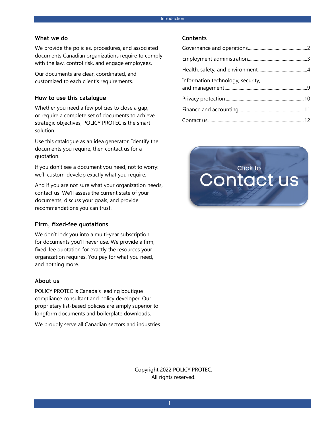#### **What we do**

We provide the policies, procedures, and associated documents Canadian organizations require to comply with the law, control risk, and engage employees.

Our documents are clear, coordinated, and customized to each client's requirements.

#### **How to use this catalogue**

Whether you need a few policies to close a gap, or require a complete set of documents to achieve strategic objectives, POLICY PROTEC is the smart solution.

Use this catalogue as an idea generator. Identify the documents you require, then contact us for a quotation.

If you don't see a document you need, not to worry: we'll custom-develop exactly what you require.

And if you are not sure what your organization needs, contact us. We'll assess the current state of your documents, discuss your goals, and provide recommendations you can trust.

#### **Firm, fixed-fee quotations**

We don't lock you into a multi-year subscription for documents you'll never use. We provide a firm, fixed-fee quotation for exactly the resources your organization requires. You pay for what you need, and nothing more.

#### **About us**

POLICY PROTEC is Canada's leading boutique compliance consultant and policy developer. Our proprietary list-based policies are simply superior to longform documents and boilerplate downloads.

We proudly serve all Canadian sectors and industries.

#### **Contents**

| Information technology, security, |  |
|-----------------------------------|--|
|                                   |  |
|                                   |  |
|                                   |  |



Copyright 2022 POLICY PROTEC. All rights reserved.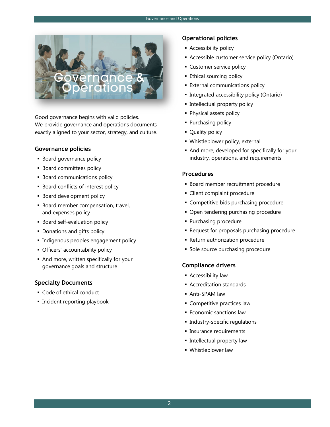

Good governance begins with valid policies. We provide governance and operations documents exactly aligned to your sector, strategy, and culture.

#### **Governance policies**

- **Board governance policy**
- **Board committees policy**
- **Board communications policy**
- **Board conflicts of interest policy**
- **Board development policy**
- **Board member compensation, travel,** and expenses policy
- **Board self-evaluation policy**
- **-** Donations and gifts policy
- **Indigenous peoples engagement policy**
- **Officers' accountability policy**
- And more, written specifically for your governance goals and structure

#### **Specialty Documents**

- Code of ethical conduct
- **Incident reporting playbook**

#### **Operational policies**

- **Accessibility policy**
- Accessible customer service policy (Ontario)
- **Customer service policy**
- **Ethical sourcing policy**
- **External communications policy**
- **Integrated accessibility policy (Ontario)**
- **Intellectual property policy**
- **Physical assets policy**
- **Purchasing policy**
- Quality policy
- Whistleblower policy, external
- And more, developed for specifically for your industry, operations, and requirements

#### **Procedures**

- **Board member recruitment procedure**
- Client complaint procedure
- **Competitive bids purchasing procedure**
- **Open tendering purchasing procedure**
- Purchasing procedure
- **Request for proposals purchasing procedure**
- Return authorization procedure
- **Sole source purchasing procedure**

- **Accessibility law**
- Accreditation standards
- Anti-SPAM law
- **Competitive practices law**
- **Economic sanctions law**
- **Industry-specific regulations**
- **Insurance requirements**
- **Intellectual property law**
- **Whistleblower law**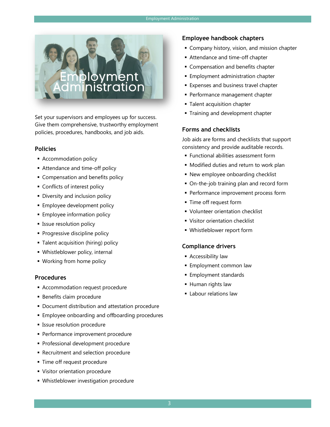

Set your supervisors and employees up for success. Give them comprehensive, trustworthy employment policies, procedures, handbooks, and job aids.

#### **Policies**

- **Accommodation policy**
- Attendance and time-off policy
- **Compensation and benefits policy**
- **Conflicts of interest policy**
- **Diversity and inclusion policy**
- **Employee development policy**
- **Employee information policy**
- **Example 15 Issue resolution policy**
- **Progressive discipline policy**
- Talent acquisition (hiring) policy
- Whistleblower policy, internal
- **Working from home policy**

#### **Procedures**

- **Accommodation request procedure**
- **Benefits claim procedure**
- **Document distribution and attestation procedure**
- **Employee onboarding and offboarding procedures**
- **Issue resolution procedure**
- **Performance improvement procedure**
- **Professional development procedure**
- **Recruitment and selection procedure**
- **Time off request procedure**
- Visitor orientation procedure
- Whistleblower investigation procedure

#### **Employee handbook chapters**

- **Company history, vision, and mission chapter**
- Attendance and time-off chapter
- **Compensation and benefits chapter**
- **Employment administration chapter**
- **Expenses and business travel chapter**
- **Performance management chapter**
- **Talent acquisition chapter**
- **Training and development chapter**

#### **Forms and checklists**

Job aids are forms and checklists that support consistency and provide auditable records.

- Functional abilities assessment form
- **Modified duties and return to work plan**
- **New employee onboarding checklist**
- On-the-job training plan and record form
- **Performance improvement process form**
- **Time off request form**
- **Volunteer orientation checklist**
- **Visitor orientation checklist**
- Whistleblower report form

- **Accessibility law**
- **Employment common law**
- **Employment standards**
- **Human rights law**
- **Labour relations law**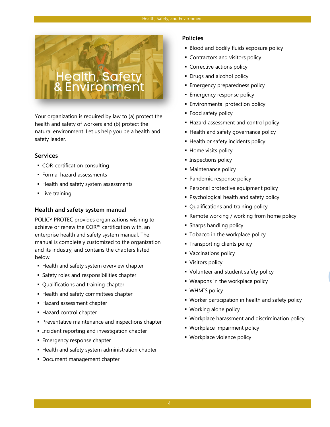

Your organization is required by law to (a) protect the health and safety of workers and (b) protect the natural environment. Let us help you be a health and safety leader.

#### **Services**

- COR-certification consulting
- Formal hazard assessments
- Health and safety system assessments
- **Live training**

#### **Health and safety system manual**

POLICY PROTEC provides organizations wishing to achieve or renew the COR™ certification with, an enterprise health and safety system manual. The manual is completely customized to the organization and its industry, and contains the chapters listed below:

- **Health and safety system overview chapter**
- **Safety roles and responsibilities chapter**
- Qualifications and training chapter
- **Health and safety committees chapter**
- Hazard assessment chapter
- Hazard control chapter
- **Preventative maintenance and inspections chapter**
- Incident reporting and investigation chapter
- **Emergency response chapter**
- Health and safety system administration chapter
- **Document management chapter**

#### **Policies**

- **Blood and bodily fluids exposure policy**
- **Contractors and visitors policy**
- **Corrective actions policy**
- **Drugs and alcohol policy**
- **Emergency preparedness policy**
- **Emergency response policy**
- **Environmental protection policy**
- **Food safety policy**
- **Hazard assessment and control policy**
- **Health and safety governance policy**
- **Health or safety incidents policy**
- Home visits policy
- **Inspections policy**
- Maintenance policy
- Pandemic response policy
- **Personal protective equipment policy**
- Psychological health and safety policy
- Qualifications and training policy
- **Remote working / working from home policy**
- **Sharps handling policy**
- **Tobacco in the workplace policy**
- **Transporting clients policy**
- Vaccinations policy
- **Visitors policy**
- **Volunteer and student safety policy**
- **Weapons in the workplace policy**
- **WHMIS policy**
- Worker participation in health and safety policy
- Working alone policy
- Workplace harassment and discrimination policy
- Workplace impairment policy
- **Workplace violence policy**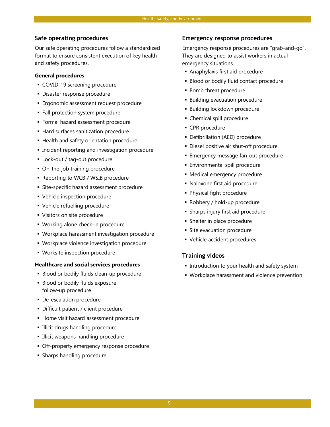#### **Safe operating procedures**

Our safe operating procedures follow a standardized format to ensure consistent execution of key health and safety procedures.

#### **General procedures**

- COVID-19 screening procedure
- Disaster response procedure
- **E**rgonomic assessment request procedure
- Fall protection system procedure
- Formal hazard assessment procedure
- **Hard surfaces sanitization procedure**
- Health and safety orientation procedure
- Incident reporting and investigation procedure
- Lock-out / tag-out procedure
- On-the-job training procedure
- **Reporting to WCB / WSIB procedure**
- Site-specific hazard assessment procedure
- Vehicle inspection procedure
- Vehicle refuelling procedure
- Visitors on site procedure
- Working alone check-in procedure
- Workplace harassment investigation procedure
- Workplace violence investigation procedure
- **Worksite inspection procedure**

#### **Healthcare and social services procedures**

- Blood or bodily fluids clean-up procedure
- Blood or bodily fluids exposure follow-up procedure
- De-escalation procedure
- Difficult patient / client procedure
- Home visit hazard assessment procedure
- **Illicit drugs handling procedure**
- **Illicit weapons handling procedure**
- **Off-property emergency response procedure**
- **Sharps handling procedure**

#### **Emergency response procedures**

Emergency response procedures are "grab-and-go". They are designed to assist workers in actual emergency situations.

- Anaphylaxis first aid procedure
- **Blood or bodily fluid contact procedure**
- **Bomb threat procedure**
- **Building evacuation procedure**
- Building lockdown procedure
- Chemical spill procedure
- **CPR** procedure
- Defibrillation (AED) procedure
- Diesel positive air shut-off procedure
- Emergency message fan-out procedure
- **Environmental spill procedure**
- Medical emergency procedure
- Naloxone first aid procedure
- Physical fight procedure
- Robbery / hold-up procedure
- Sharps injury first aid procedure
- **Shelter in place procedure**
- **Site evacuation procedure**
- Vehicle accident procedures

#### **Training videos**

- **Introduction to your health and safety system**
- **Workplace harassment and violence prevention**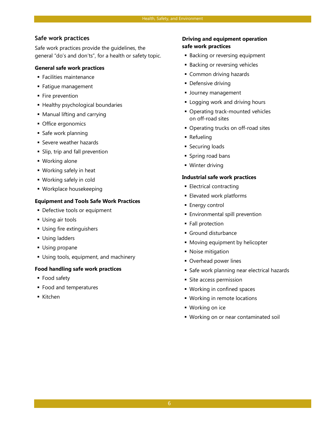#### **Safe work practices**

Safe work practices provide the guidelines, the general "do's and don'ts", for a health or safety topic.

#### **General safe work practices**

- Facilities maintenance
- Fatigue management
- **Fire prevention**
- **Healthy psychological boundaries**
- Manual lifting and carrying
- **Office ergonomics**
- **Safe work planning**
- **Severe weather hazards**
- Slip, trip and fall prevention
- Working alone
- Working safely in heat
- Working safely in cold
- Workplace housekeeping

#### **Equipment and Tools Safe Work Practices**

- **Defective tools or equipment**
- **Using air tools**
- Using fire extinguishers
- **Using ladders**
- **Using propane**
- Using tools, equipment, and machinery

#### **Food handling safe work practices**

- Food safety
- Food and temperatures
- Kitchen

#### **Driving and equipment operation safe work practices**

- **Backing or reversing equipment**
- **Backing or reversing vehicles**
- **Common driving hazards**
- **Defensive driving**
- **Journey management**
- **Example 1** Logging work and driving hours
- **Operating track-mounted vehicles** on off-road sites
- **Operating trucks on off-road sites**
- Refueling
- **Securing loads**
- **Spring road bans**
- Winter driving

#### **Industrial safe work practices**

- **Electrical contracting**
- **Elevated work platforms**
- **Energy control**
- **Environmental spill prevention**
- **Fall protection**
- Ground disturbance
- **Moving equipment by helicopter**
- **Noise mitigation**
- **Overhead power lines**
- **Safe work planning near electrical hazards**
- Site access permission
- Working in confined spaces
- Working in remote locations
- Working on ice
- Working on or near contaminated soil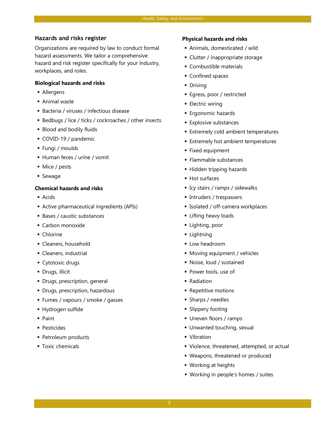#### **Hazards and risks register**

Organizations are required by law to conduct formal hazard assessments. We tailor a comprehensive hazard and risk register specifically for your industry, workplaces, and roles.

#### **Biological hazards and risks**

- Allergens
- Animal waste
- Bacteria / viruses / infectious disease
- Bedbugs / lice / ticks / cockroaches / other insects
- **Blood and bodily fluids**
- COVID-19 / pandemic
- Fungi / moulds
- Human feces / urine / vomit
- **Mice** / pests
- **Sewage**

#### **Chemical hazards and risks**

- **Acids**
- Active pharmaceutical ingredients (APIs)
- Bases / caustic substances
- **Carbon monoxide**
- Chlorine
- Cleaners, household
- Cleaners, industrial
- Cytotoxic drugs
- Drugs, illicit
- **•** Drugs, prescription, general
- **Drugs, prescription, hazardous**
- Fumes / vapours / smoke / gasses
- Hydrogen sulfide
- Paint
- Pesticides
- **Petroleum products**
- **Toxic chemicals**

#### **Physical hazards and risks**

- Animals, domesticated / wild
- **Clutter / inappropriate storage**
- Combustible materials
- **Confined spaces**
- **Driving**
- **Egress, poor / restricted**
- **Electric wiring**
- Ergonomic hazards
- **Explosive substances**
- **Extremely cold ambient temperatures**
- **Extremely hot ambient temperatures**
- **Fixed equipment**
- **Flammable substances**
- **Hidden tripping hazards**
- **Hot surfaces**
- Icy stairs / ramps / sidewalks
- Intruders / trespassers
- Isolated / off-camera workplaces
- **Lifting heavy loads**
- **Lighting**, poor
- **Lightning**
- **Low headroom**
- **Moving equipment / vehicles**
- Noise, loud / sustained
- **Power tools, use of**
- Radiation
- **Repetitive motions**
- Sharps / needles
- **Slippery footing**
- Uneven floors / ramps
- Unwanted touching, sexual
- **Vibration**
- **Violence, threatened, attempted, or actual**
- Weapons, threatened or produced
- Working at heights
- Working in people's homes / suites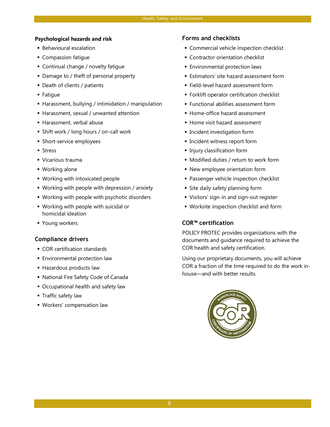#### **Psychological hazards and risk**

- Behavioural escalation
- **Compassion fatique**
- Continual change / novelty fatigue
- Damage to / theft of personal property
- Death of clients / patients
- Fatigue
- **Harassment, bullying / intimidation / manipulation**
- Harassment, sexual / unwanted attention
- Harassment, verbal abuse
- Shift work / long hours / on-call work
- **Short-service employees**
- **Stress**
- Vicarious trauma
- Working alone
- **Working with intoxicated people**
- Working with people with depression / anxiety
- Working with people with psychotic disorders
- Working with people with suicidal or homicidal ideation
- Young workers

#### **Compliance drivers**

- **COR certification standards**
- **Environmental protection law**
- **Hazardous products law**
- National Fire Safety Code of Canada
- Occupational health and safety law
- **Traffic safety law**
- Workers' compensation law

#### **Forms and checklists**

- Commercial vehicle inspection checklist
- **Contractor orientation checklist**
- **Environmental protection laws**
- **Estimators' site hazard assessment form**
- Field-level hazard assessment form
- **Forklift operator certification checklist**
- **Functional abilities assessment form**
- **Home-office hazard assessment**
- **Home visit hazard assessment**
- **Incident investigation form**
- **Incident witness report form**
- **Injury classification form**
- **Modified duties / return to work form**
- New employee orientation form
- **Passenger vehicle inspection checklist**
- Site daily safety planning form
- Visitors' sign-in and sign-out register
- Worksite inspection checklist and form

#### **COR™ certification**

POLICY PROTEC provides organizations with the documents and guidance required to achieve the COR health and safety certification.

Using our proprietary documents, you will achieve COR a fraction of the time required to do the work inhouse—and with better results.

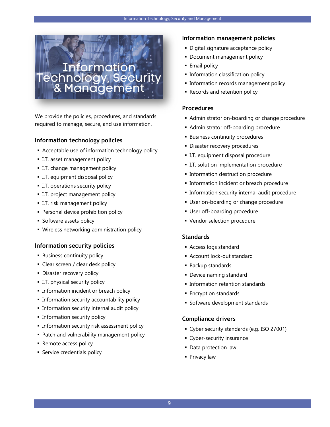

We provide the policies, procedures, and standards required to manage, secure, and use information.

#### **Information technology policies**

- Acceptable use of information technology policy
- **I.T. asset management policy**
- **I.T.** change management policy
- I.T. equipment disposal policy
- **I.T. operations security policy**
- **I.T. project management policy**
- **I.T. risk management policy**
- **Personal device prohibition policy**
- **Software assets policy**
- Wireless networking administration policy

#### **Information security policies**

- **Business continuity policy**
- **Clear screen / clear desk policy**
- **Disaster recovery policy**
- **I.T. physical security policy**
- **Information incident or breach policy**
- **Information security accountability policy**
- **Information security internal audit policy**
- **Information security policy**
- **Information security risk assessment policy**
- **Patch and vulnerability management policy**
- **Remote access policy**
- **Service credentials policy**

#### **Information management policies**

- Digital signature acceptance policy
- **Document management policy**
- **Email policy**
- **Information classification policy**
- **Information records management policy**
- **Records and retention policy**

#### **Procedures**

- **Administrator on-boarding or change procedure**
- **Administrator off-boarding procedure**
- **Business continuity procedures**
- **Disaster recovery procedures**
- I.T. equipment disposal procedure
- **I.T. solution implementation procedure**
- **Information destruction procedure**
- **Information incident or breach procedure**
- **Information security internal audit procedure**
- **User on-boarding or change procedure**
- User off-boarding procedure
- Vendor selection procedure

#### **Standards**

- Access logs standard
- Account lock-out standard
- Backup standards
- **Device naming standard**
- **Information retention standards**
- **Encryption standards**
- **Software development standards**

- Cyber security standards (e.g. ISO 27001)
- **Cyber-security insurance**
- **Data protection law**
- **Privacy law**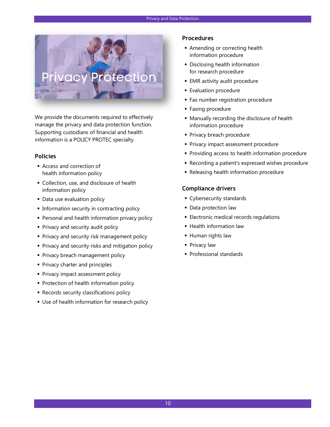

We provide the documents required to effectively manage the privacy and data protection function. Supporting custodians of financial and health information is a POLICY PROTEC specialty.

#### **Policies**

- Access and correction of health information policy
- Collection, use, and disclosure of health information policy
- **Data use evaluation policy**
- **Information security in contracting policy**
- **Personal and health information privacy policy**
- Privacy and security audit policy
- **Privacy and security risk management policy**
- **Privacy and security risks and mitigation policy**
- **Privacy breach management policy**
- **Privacy charter and principles**
- **Privacy impact assessment policy**
- **Protection of health information policy**
- **Records security classifications policy**
- **Use of health information for research policy**

#### **Procedures**

- **Amending or correcting health** information procedure
- **Disclosing health information** for research procedure
- **EMR** activity audit procedure
- **Evaluation procedure**
- **Fax number registration procedure**
- **Faxing procedure**
- Manually recording the disclosure of health information procedure
- **Privacy breach procedure**
- **Privacy impact assessment procedure**
- **Providing access to health information procedure**
- Recording a patient's expressed wishes procedure
- **Releasing health information procedure**

- **Cybersecurity standards**
- **Data protection law**
- **Electronic medical records regulations**
- **Health information law**
- Human rights law
- Privacy law
- Professional standards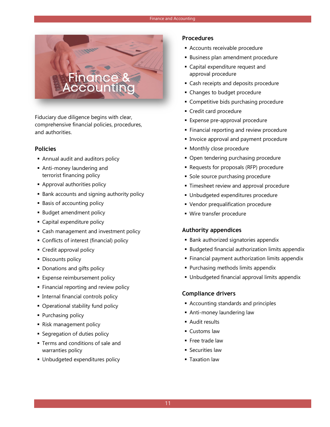

Fiduciary due diligence begins with clear, comprehensive financial policies, procedures, and authorities.

#### **Policies**

- Annual audit and auditors policy
- Anti-money laundering and terrorist financing policy
- **Approval authorities policy**
- **Bank accounts and signing authority policy**
- Basis of accounting policy
- **Budget amendment policy**
- Capital expenditure policy
- Cash management and investment policy
- Conflicts of interest (financial) policy
- **Credit approval policy**
- **Discounts policy**
- **Donations and gifts policy**
- **Expense reimbursement policy**
- **Financial reporting and review policy**
- **Internal financial controls policy**
- Operational stability fund policy
- Purchasing policy
- **Risk management policy**
- **Segregation of duties policy**
- **Terms and conditions of sale and** warranties policy
- Unbudgeted expenditures policy

#### **Procedures**

- Accounts receivable procedure
- **Business plan amendment procedure**
- Capital expenditure request and approval procedure
- **Cash receipts and deposits procedure**
- **Changes to budget procedure**
- **Competitive bids purchasing procedure**
- Credit card procedure
- Expense pre-approval procedure
- **Financial reporting and review procedure**
- **Invoice approval and payment procedure**
- **Monthly close procedure**
- Open tendering purchasing procedure
- **Requests for proposals (RFP) procedure**
- **Sole source purchasing procedure**
- **Timesheet review and approval procedure**
- **Unbudgeted expenditures procedure**
- **Vendor prequalification procedure**
- Wire transfer procedure

#### **Authority appendices**

- **Bank authorized signatories appendix**
- **Budgeted financial authorization limits appendix**
- **Financial payment authorization limits appendix**
- **Purchasing methods limits appendix**
- Unbudgeted financial approval limits appendix

- Accounting standards and principles
- Anti-money laundering law
- Audit results
- **Customs law**
- **Free trade law**
- **Securities law**
- **Taxation law**